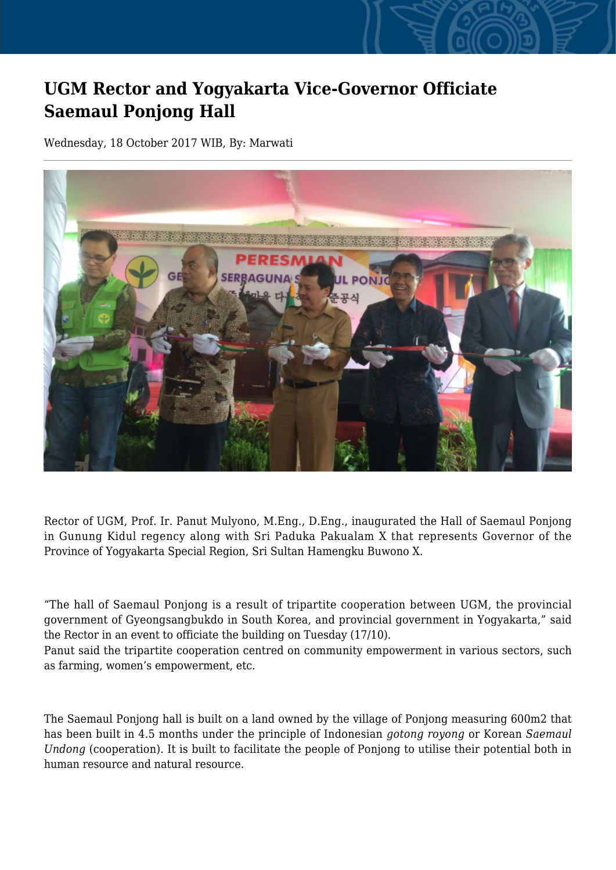## **UGM Rector and Yogyakarta Vice-Governor Officiate Saemaul Ponjong Hall**

Wednesday, 18 October 2017 WIB, By: Marwati



Rector of UGM, Prof. Ir. Panut Mulyono, M.Eng., D.Eng., inaugurated the Hall of Saemaul Ponjong in Gunung Kidul regency along with Sri Paduka Pakualam X that represents Governor of the Province of Yogyakarta Special Region, Sri Sultan Hamengku Buwono X.

"The hall of Saemaul Ponjong is a result of tripartite cooperation between UGM, the provincial government of Gyeongsangbukdo in South Korea, and provincial government in Yogyakarta," said the Rector in an event to officiate the building on Tuesday (17/10).

Panut said the tripartite cooperation centred on community empowerment in various sectors, such as farming, women's empowerment, etc.

The Saemaul Ponjong hall is built on a land owned by the village of Ponjong measuring 600m2 that has been built in 4.5 months under the principle of Indonesian *gotong royong* or Korean *Saemaul Undong* (cooperation). It is built to facilitate the people of Ponjong to utilise their potential both in human resource and natural resource.